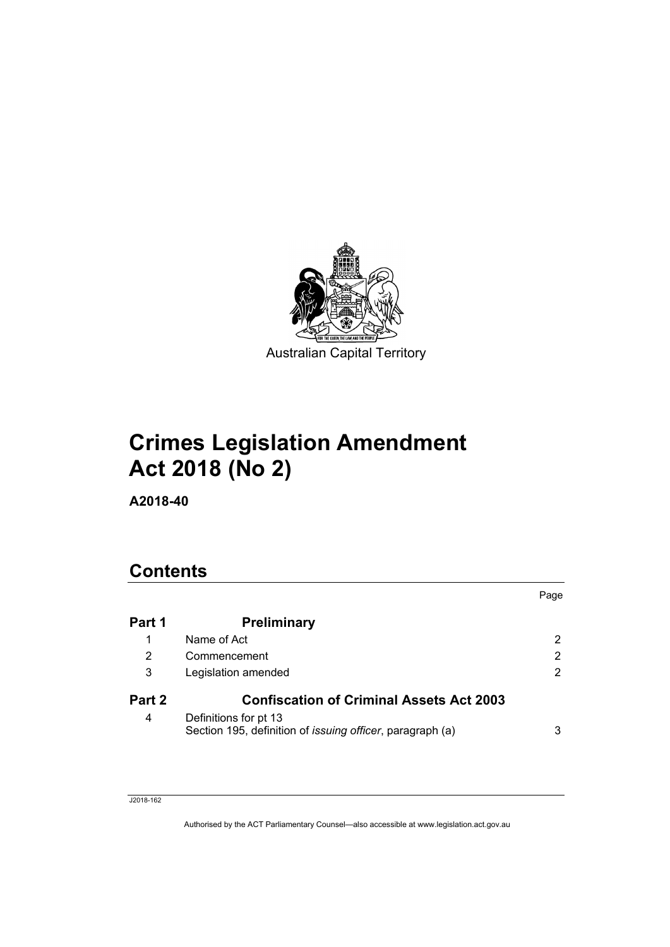

# **Crimes Legislation Amendment Act 2018 (No 2)**

**A2018-40**

# **Contents**

|                |                                                                                            | Page |
|----------------|--------------------------------------------------------------------------------------------|------|
| Part 1         | <b>Preliminary</b>                                                                         |      |
| 1              | Name of Act                                                                                | 2    |
| $\overline{2}$ | Commencement                                                                               | 2    |
| 3              | Legislation amended                                                                        |      |
| Part 2         | <b>Confiscation of Criminal Assets Act 2003</b>                                            |      |
| 4              | Definitions for pt 13<br>Section 195, definition of <i>issuing officer</i> , paragraph (a) | 3    |

#### J2018-162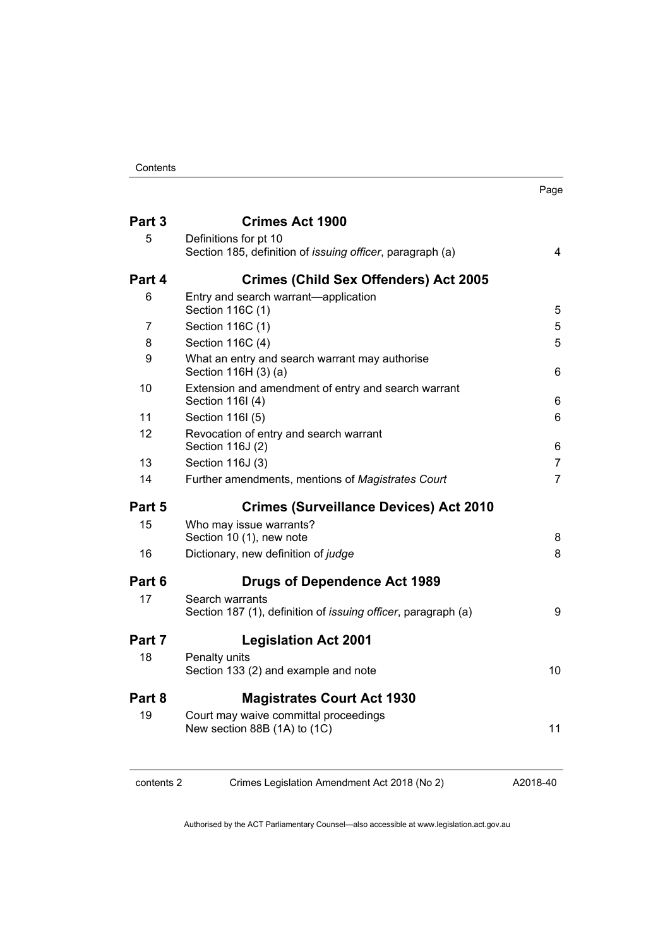| ×<br>۰.<br>۰, |
|---------------|
|---------------|

| Part 3 | <b>Crimes Act 1900</b>                                                                     |                |
|--------|--------------------------------------------------------------------------------------------|----------------|
| 5      | Definitions for pt 10<br>Section 185, definition of <i>issuing officer</i> , paragraph (a) | 4              |
| Part 4 | <b>Crimes (Child Sex Offenders) Act 2005</b>                                               |                |
| 6      | Entry and search warrant—application<br>Section 116C (1)                                   | 5              |
| 7      | Section 116C (1)                                                                           | 5              |
| 8      | Section 116C (4)                                                                           | 5              |
| 9      | What an entry and search warrant may authorise<br>Section 116H (3) (a)                     | 6              |
| 10     | Extension and amendment of entry and search warrant<br>Section 116I (4)                    | 6              |
| 11     | Section 116I (5)                                                                           | 6              |
| 12     | Revocation of entry and search warrant<br>Section 116J (2)                                 | 6              |
| 13     | Section 116J (3)                                                                           | $\overline{7}$ |
| 14     | Further amendments, mentions of Magistrates Court                                          | $\overline{7}$ |
|        |                                                                                            |                |
| Part 5 | <b>Crimes (Surveillance Devices) Act 2010</b>                                              |                |
| 15     | Who may issue warrants?<br>Section 10 (1), new note                                        | 8              |
| 16     | Dictionary, new definition of judge                                                        |                |
| Part 6 | <b>Drugs of Dependence Act 1989</b>                                                        |                |
| 17     | Search warrants<br>Section 187 (1), definition of <i>issuing officer</i> , paragraph (a)   | 9              |
| Part 7 | <b>Legislation Act 2001</b>                                                                |                |
| 18     | Penalty units<br>Section 133 (2) and example and note                                      |                |
| Part 8 | <b>Magistrates Court Act 1930</b>                                                          |                |
| 19     | Court may waive committal proceedings<br>New section 88B (1A) to (1C)                      | 8<br>10<br>11  |

contents 2 Crimes Legislation Amendment Act 2018 (No 2)

A2018-40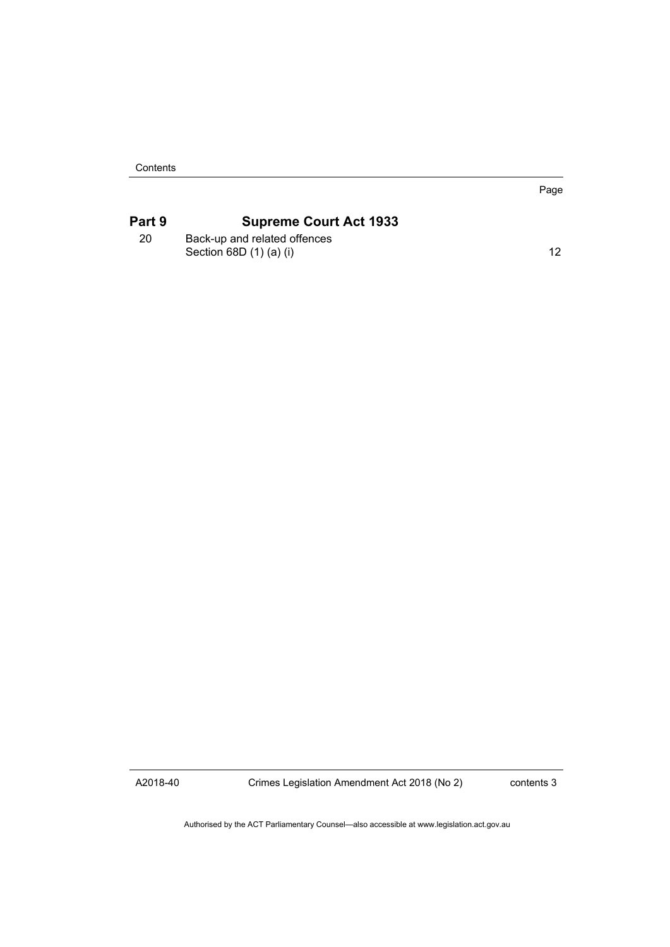**Contents** 

## **Part 9 [Supreme Court Act 1933](#page-15-0)**

20 [Back-up and related offences](#page-15-1) [Section 68D \(1\) \(a\) \(i\)](#page-15-1) 12

Page

A2018-40

Crimes Legislation Amendment Act 2018 (No 2)

contents 3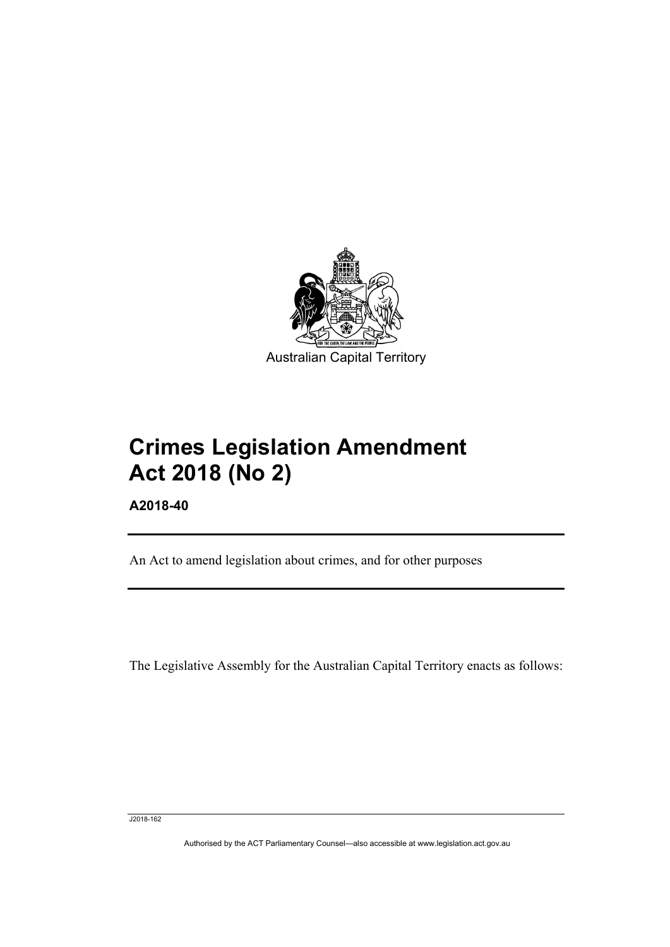

# **Crimes Legislation Amendment Act 2018 (No 2)**

**A2018-40**

I

An Act to amend legislation about crimes, and for other purposes

The Legislative Assembly for the Australian Capital Territory enacts as follows:

J2018-162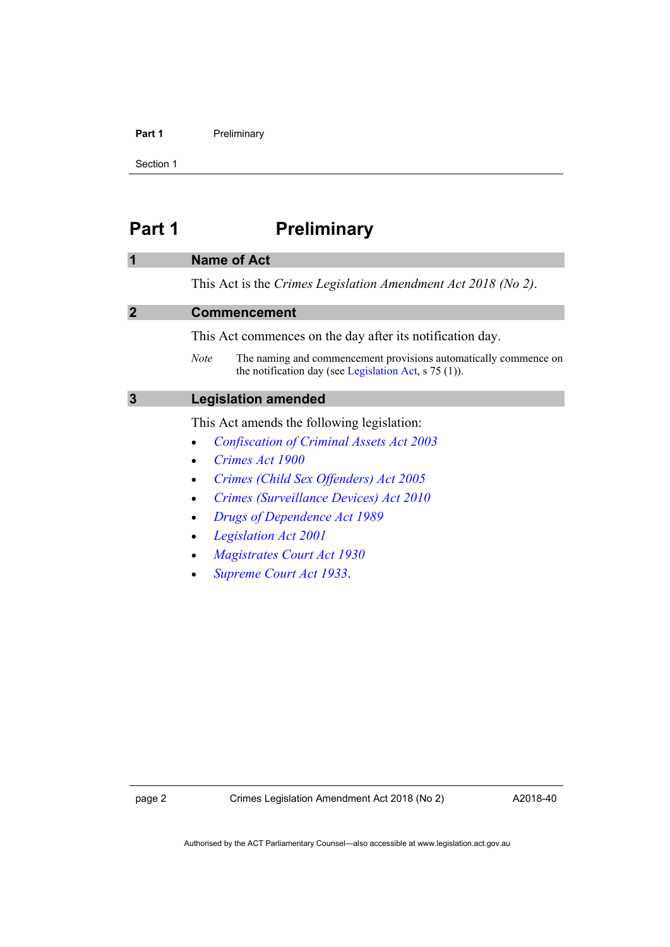#### Part 1 **Preliminary**

Section 1

# <span id="page-5-0"></span>**Part 1 Preliminary**

#### <span id="page-5-1"></span>**1 Name of Act**

This Act is the *Crimes Legislation Amendment Act 2018 (No 2)*.

#### <span id="page-5-2"></span>**2 Commencement**

This Act commences on the day after its notification day.

*Note* The naming and commencement provisions automatically commence on the notification day (see [Legislation Act,](http://www.legislation.act.gov.au/a/2001-14) s 75 (1)).

### <span id="page-5-3"></span>**3 Legislation amended**

This Act amends the following legislation:

- *[Confiscation of Criminal Assets Act 2003](http://www.legislation.act.gov.au/a/2003-8)*
- *[Crimes Act 1900](http://www.legislation.act.gov.au/a/1900-40)*
- *[Crimes \(Child Sex Offenders\) Act](http://www.legislation.act.gov.au/a/2005-30) 2005*
- *[Crimes \(Surveillance Devices\) Act 2010](http://www.legislation.act.gov.au/a/2010-23)*
- *[Drugs of Dependence Act 1989](http://www.legislation.act.gov.au/a/alt_a1989-11co)*
- *[Legislation Act 2001](http://www.legislation.act.gov.au/a/2001-14)*
- *[Magistrates Court Act 1930](http://www.legislation.act.gov.au/a/1930-21)*
- *[Supreme Court Act 1933](http://www.legislation.act.gov.au/a/1933-34)*.

A2018-40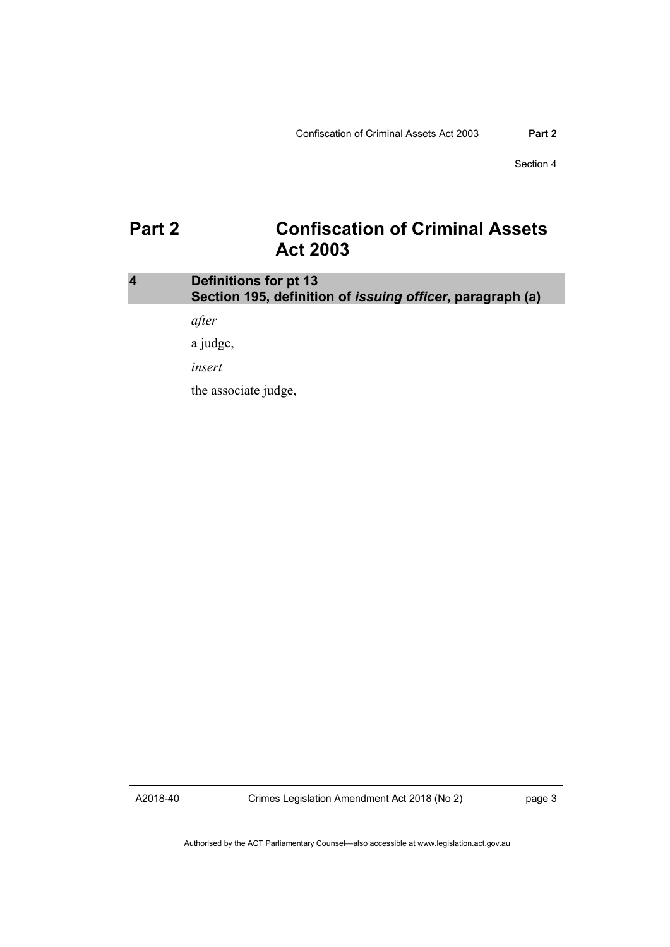Section 4

# <span id="page-6-0"></span>**Part 2 Confiscation of Criminal Assets Act 2003**

### <span id="page-6-1"></span>**4 Definitions for pt 13 Section 195, definition of** *issuing officer***, paragraph (a)**

*after*

a judge,

*insert*

the associate judge,

A2018-40

Crimes Legislation Amendment Act 2018 (No 2)

page 3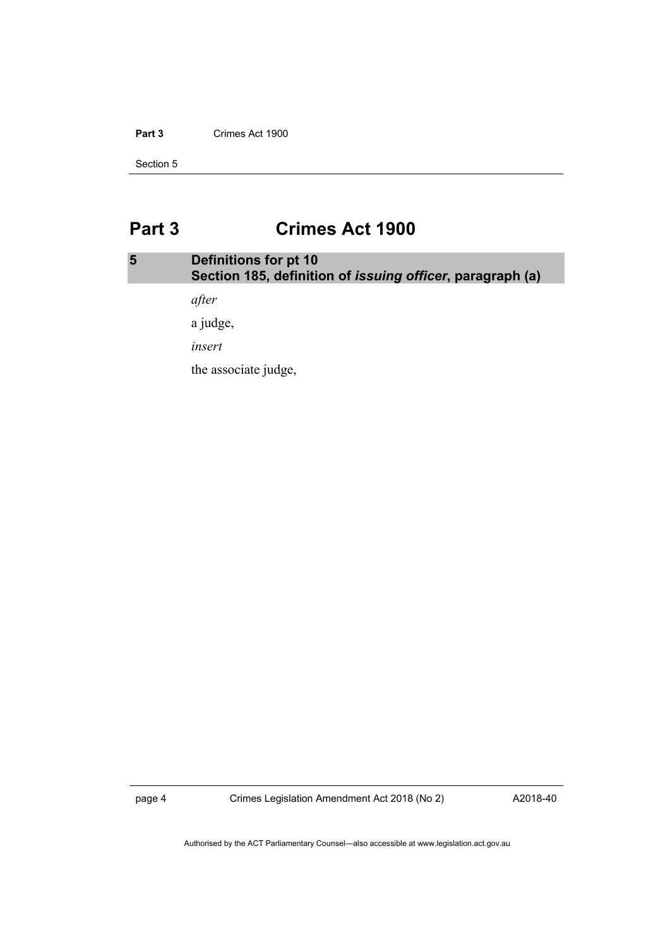#### **Part 3** Crimes Act 1900

Section 5

# <span id="page-7-0"></span>**Part 3 Crimes Act 1900**

## <span id="page-7-1"></span>**5 Definitions for pt 10 Section 185, definition of** *issuing officer***, paragraph (a)**

*after*

a judge,

*insert*

the associate judge,

page 4 Crimes Legislation Amendment Act 2018 (No 2)

A2018-40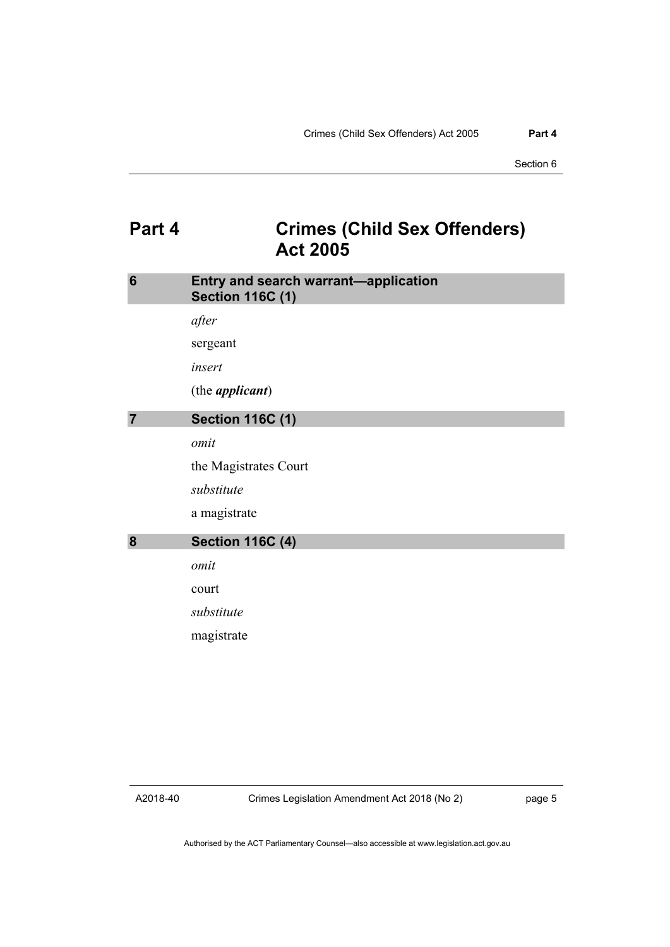# <span id="page-8-0"></span>**Part 4 Crimes (Child Sex Offenders) Act 2005**

<span id="page-8-3"></span><span id="page-8-2"></span><span id="page-8-1"></span>

| 6              | Entry and search warrant-application<br><b>Section 116C (1)</b> |
|----------------|-----------------------------------------------------------------|
|                | after                                                           |
|                | sergeant                                                        |
|                | insert                                                          |
|                | (the <i>applicant</i> )                                         |
| $\overline{7}$ | <b>Section 116C (1)</b>                                         |
|                | omit                                                            |
|                | the Magistrates Court                                           |
|                | substitute                                                      |
|                | a magistrate                                                    |
| 8              | <b>Section 116C (4)</b>                                         |
|                | omit                                                            |
|                | court                                                           |
|                | substitute                                                      |
|                | magistrate                                                      |
|                |                                                                 |

A2018-40

page 5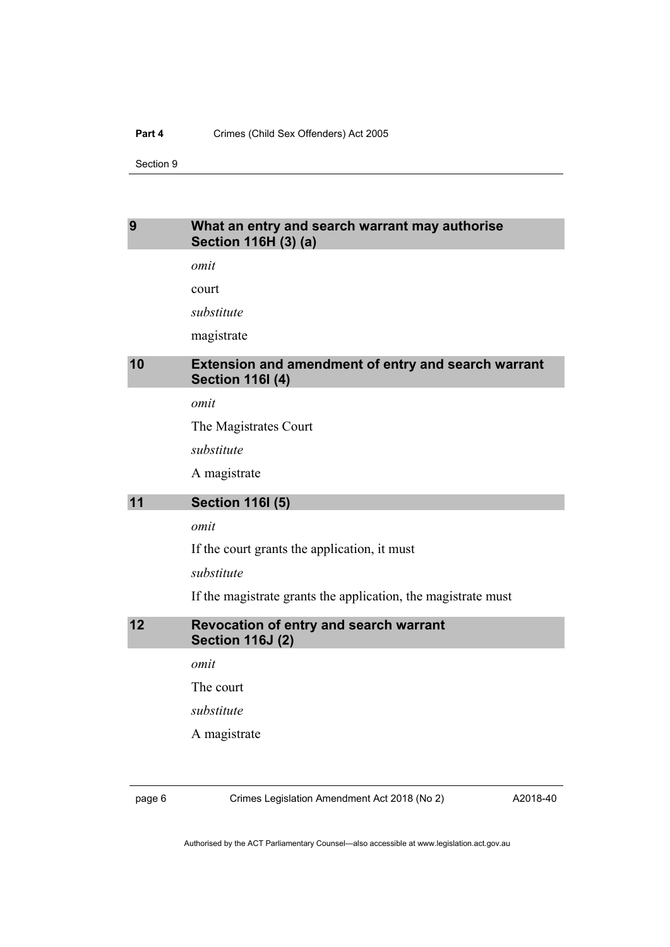#### **Part 4** Crimes (Child Sex Offenders) Act 2005

Section 9

### <span id="page-9-0"></span>**9 What an entry and search warrant may authorise Section 116H (3) (a)**

*omit*

court

*substitute*

magistrate

### <span id="page-9-1"></span>**10 Extension and amendment of entry and search warrant Section 116I (4)**

*omit*

The Magistrates Court

*substitute*

A magistrate

### <span id="page-9-2"></span>**11 Section 116I (5)**

#### *omit*

If the court grants the application, it must

*substitute*

If the magistrate grants the application, the magistrate must

<span id="page-9-3"></span>**12 Revocation of entry and search warrant Section 116J (2)**

*omit*

The court

*substitute*

A magistrate

page 6 Crimes Legislation Amendment Act 2018 (No 2)

A2018-40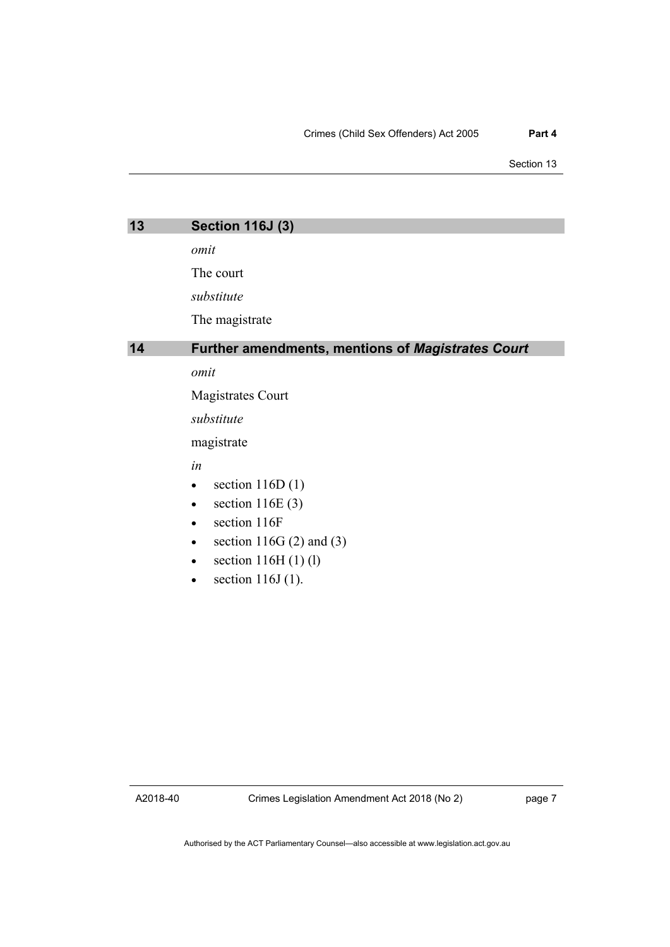Section 13

<span id="page-10-1"></span><span id="page-10-0"></span>

| 13 | <b>Section 116J (3)</b>                                  |  |  |
|----|----------------------------------------------------------|--|--|
|    | omit                                                     |  |  |
|    | The court                                                |  |  |
|    |                                                          |  |  |
|    | substitute                                               |  |  |
|    | The magistrate                                           |  |  |
| 14 | <b>Further amendments, mentions of Magistrates Court</b> |  |  |
|    | omit                                                     |  |  |
|    | Magistrates Court                                        |  |  |
|    | substitute                                               |  |  |
|    | magistrate                                               |  |  |
|    | in                                                       |  |  |
|    | section $116D(1)$                                        |  |  |
|    | section $116E(3)$                                        |  |  |
|    | section 116F                                             |  |  |
|    | section 116G $(2)$ and $(3)$                             |  |  |
|    | section $116H(1)$ (1)                                    |  |  |

• section  $116J(1)$ .

A2018-40

page 7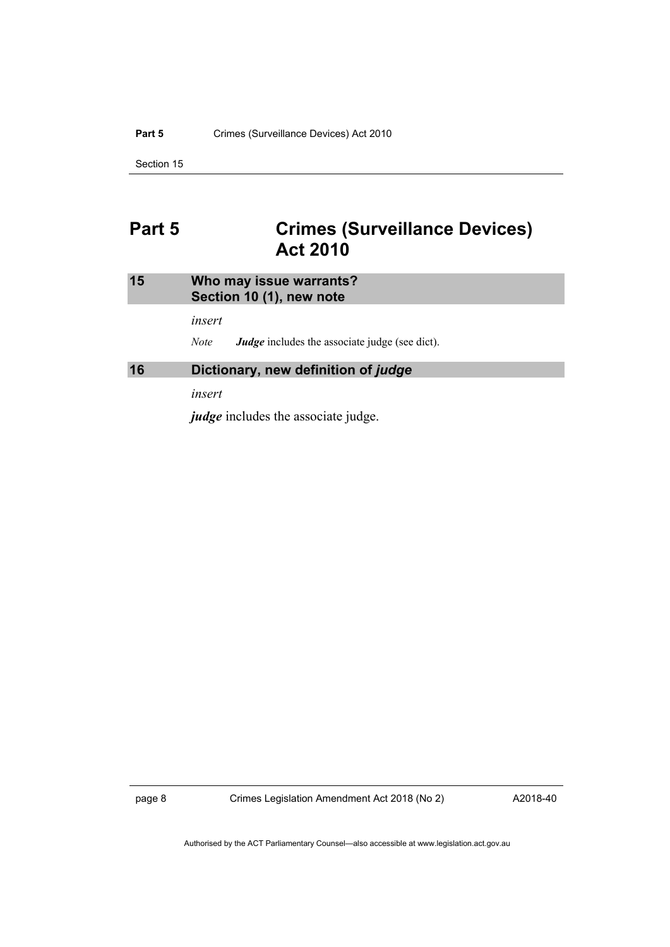#### Part 5 Crimes (Surveillance Devices) Act 2010

Section 15

# <span id="page-11-0"></span>**Part 5 Crimes (Surveillance Devices) Act 2010**

### <span id="page-11-1"></span>**15 Who may issue warrants? Section 10 (1), new note**

*insert*

*Note Judge* includes the associate judge (see dict).

#### <span id="page-11-2"></span>**16 Dictionary, new definition of** *judge*

*insert*

*judge* includes the associate judge.

page 8 Crimes Legislation Amendment Act 2018 (No 2)

A2018-40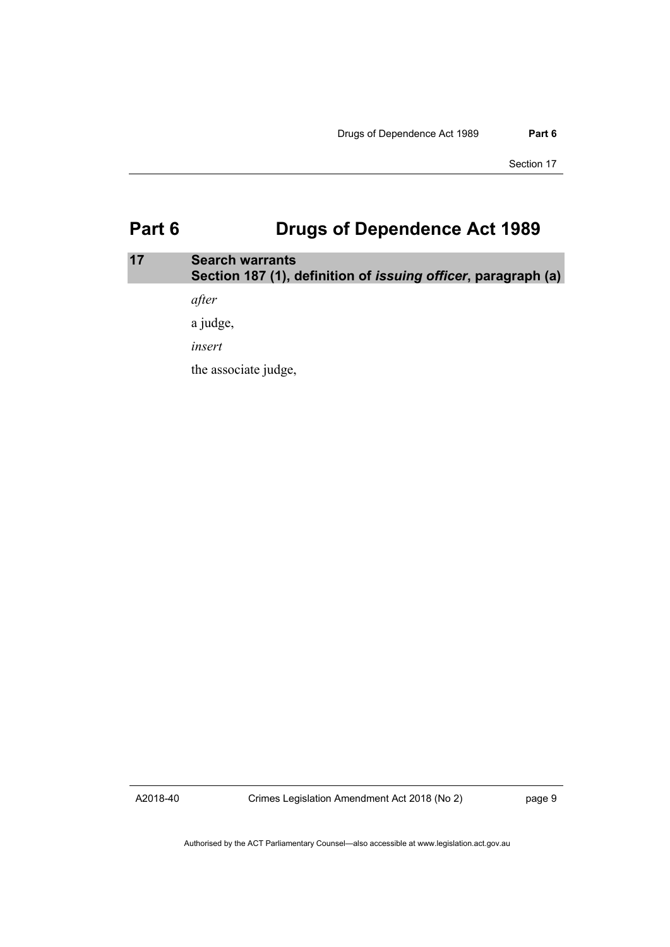# <span id="page-12-0"></span>**Part 6 Drugs of Dependence Act 1989**

### <span id="page-12-1"></span>**17 Search warrants Section 187 (1), definition of** *issuing officer***, paragraph (a)**

*after*

a judge,

*insert*

the associate judge,

A2018-40

Crimes Legislation Amendment Act 2018 (No 2)

page 9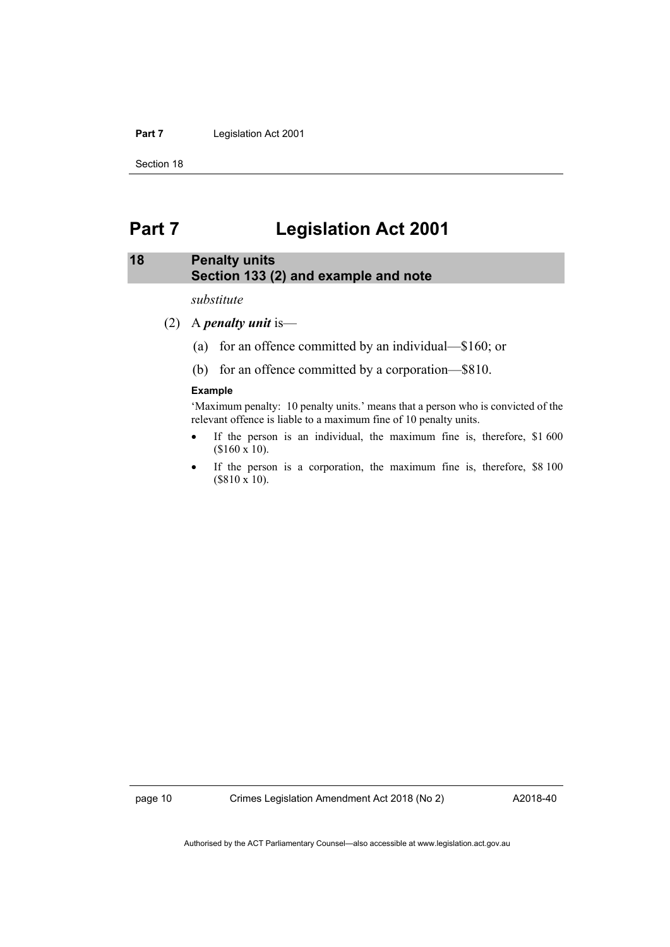#### Part 7 Legislation Act 2001

Section 18

# <span id="page-13-0"></span>**Part 7 Legislation Act 2001**

### <span id="page-13-1"></span>**18 Penalty units Section 133 (2) and example and note**

*substitute*

- (2) A *penalty unit* is—
	- (a) for an offence committed by an individual—\$160; or
	- (b) for an offence committed by a corporation—\$810.

#### **Example**

'Maximum penalty: 10 penalty units.' means that a person who is convicted of the relevant offence is liable to a maximum fine of 10 penalty units.

- If the person is an individual, the maximum fine is, therefore, \$1 600 (\$160 x 10).
- If the person is a corporation, the maximum fine is, therefore, \$8 100 (\$810 x 10).

A2018-40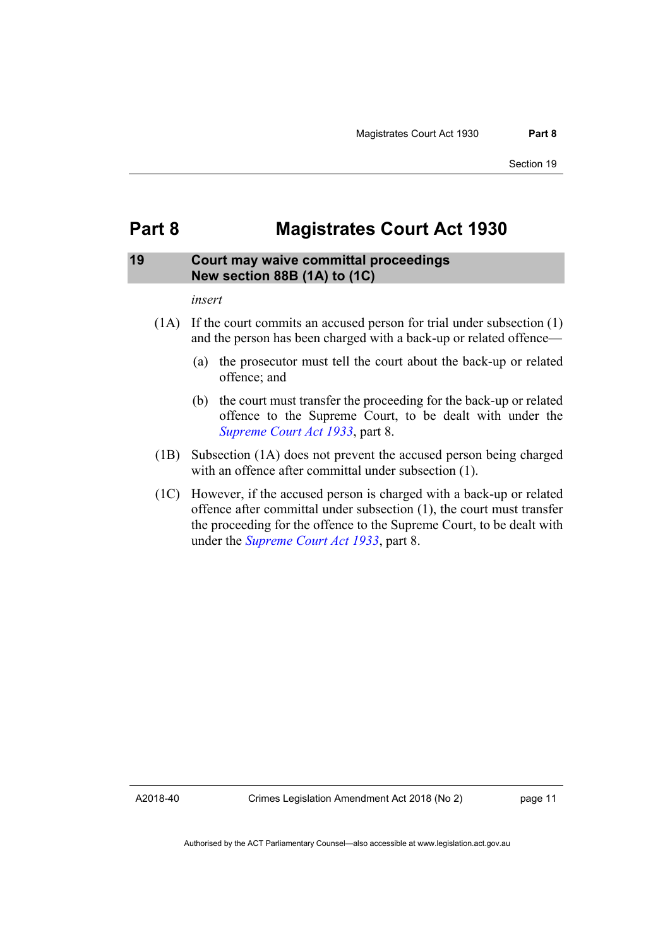# <span id="page-14-0"></span>**Part 8 Magistrates Court Act 1930**

### <span id="page-14-1"></span>**19 Court may waive committal proceedings New section 88B (1A) to (1C)**

#### *insert*

- (1A) If the court commits an accused person for trial under subsection (1) and the person has been charged with a back-up or related offence—
	- (a) the prosecutor must tell the court about the back-up or related offence; and
	- (b) the court must transfer the proceeding for the back-up or related offence to the Supreme Court, to be dealt with under the *[Supreme Court Act 1933](http://www.legislation.act.gov.au/a/1933-34)*, part 8.
- (1B) Subsection (1A) does not prevent the accused person being charged with an offence after committal under subsection (1).
- (1C) However, if the accused person is charged with a back-up or related offence after committal under subsection (1), the court must transfer the proceeding for the offence to the Supreme Court, to be dealt with under the *[Supreme Court Act 1933](http://www.legislation.act.gov.au/a/1933-34)*, part 8.

A2018-40

page 11